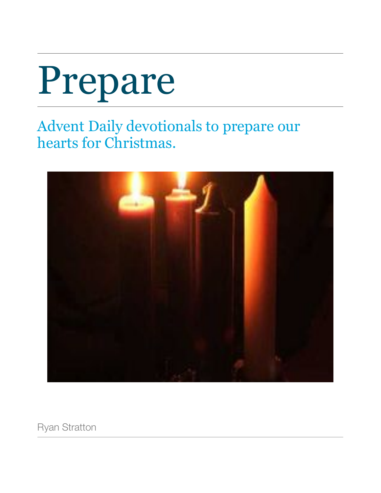# Prepare

Advent Daily devotionals to prepare our hearts for Christmas.



Ryan Stratton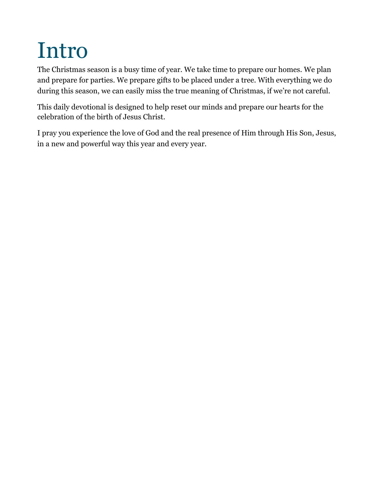# <span id="page-3-0"></span>Intro

The Christmas season is a busy time of year. We take time to prepare our homes. We plan and prepare for parties. We prepare gifts to be placed under a tree. With everything we do during this season, we can easily miss the true meaning of Christmas, if we're not careful.

This daily devotional is designed to help reset our minds and prepare our hearts for the celebration of the birth of Jesus Christ.

I pray you experience the love of God and the real presence of Him through His Son, Jesus, in a new and powerful way this year and every year.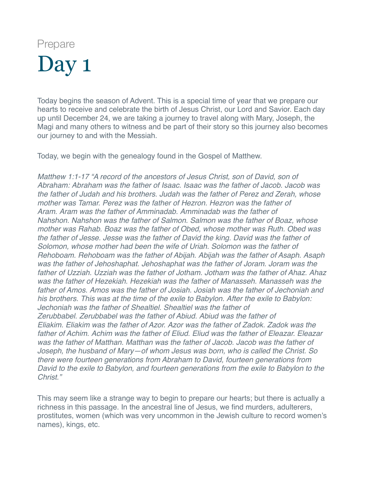<span id="page-4-0"></span>Today begins the season of Advent. This is a special time of year that we prepare our hearts to receive and celebrate the birth of Jesus Christ, our Lord and Savior. Each day up until December 24, we are taking a journey to travel along with Mary, Joseph, the Magi and many others to witness and be part of their story so this journey also becomes our journey to and with the Messiah.

Today, we begin with the genealogy found in the Gospel of Matthew.

*Matthew 1:1-17 "A record of the ancestors of Jesus Christ, son of David, son of Abraham: Abraham was the father of Isaac. Isaac was the father of Jacob. Jacob was the father of Judah and his brothers. Judah was the father of Perez and Zerah, whose mother was Tamar. Perez was the father of Hezron. Hezron was the father of Aram. Aram was the father of Amminadab. Amminadab was the father of Nahshon. Nahshon was the father of Salmon. Salmon was the father of Boaz, whose mother was Rahab. Boaz was the father of Obed, whose mother was Ruth. Obed was the father of Jesse. Jesse was the father of David the king. David was the father of Solomon, whose mother had been the wife of Uriah. Solomon was the father of Rehoboam. Rehoboam was the father of Abijah. Abijah was the father of Asaph. Asaph was the father of Jehoshaphat. Jehoshaphat was the father of Joram. Joram was the father of Uzziah. Uzziah was the father of Jotham. Jotham was the father of Ahaz. Ahaz was the father of Hezekiah. Hezekiah was the father of Manasseh. Manasseh was the father of Amos. Amos was the father of Josiah. Josiah was the father of Jechoniah and his brothers. This was at the time of the exile to Babylon. After the exile to Babylon: Jechoniah was the father of Shealtiel. Shealtiel was the father of Zerubbabel. Zerubbabel was the father of Abiud. Abiud was the father of Eliakim. Eliakim was the father of Azor. Azor was the father of Zadok. Zadok was the father of Achim. Achim was the father of Eliud. Eliud was the father of Eleazar. Eleazar was the father of Matthan. Matthan was the father of Jacob. Jacob was the father of Joseph, the husband of Mary—of whom Jesus was born, who is called the Christ. So there were fourteen generations from Abraham to David, fourteen generations from David to the exile to Babylon, and fourteen generations from the exile to Babylon to the Christ."*

This may seem like a strange way to begin to prepare our hearts; but there is actually a richness in this passage. In the ancestral line of Jesus, we find murders, adulterers, prostitutes, women (which was very uncommon in the Jewish culture to record women's names), kings, etc.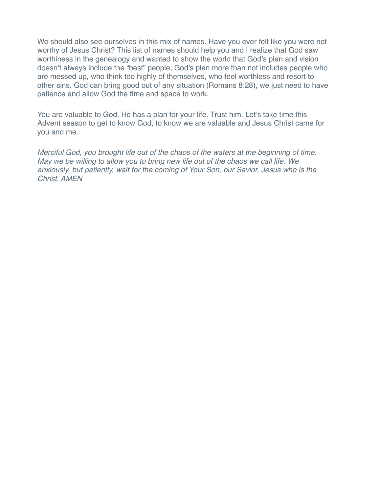We should also see ourselves in this mix of names. Have you ever felt like you were not worthy of Jesus Christ? This list of names should help you and I realize that God saw worthiness in the genealogy and wanted to show the world that God's plan and vision doesn't always include the "best" people; God's plan more than not includes people who are messed up, who think too highly of themselves, who feel worthless and resort to other sins. God can bring good out of any situation (Romans 8:28), we just need to have patience and allow God the time and space to work.

You are valuable to God. He has a plan for your life. Trust him. Let's take time this Advent season to get to know God, to know we are valuable and Jesus Christ came for you and me.

*Merciful God, you brought life out of the chaos of the waters at the beginning of time. May we be willing to allow you to bring new life out of the chaos we call life. We anxiously, but patiently, wait for the coming of Your Son, our Savior, Jesus who is the Christ. AMEN*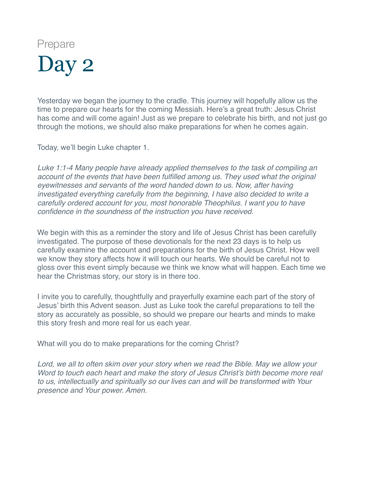<span id="page-6-0"></span>Yesterday we began the journey to the cradle. This journey will hopefully allow us the time to prepare our hearts for the coming Messiah. Here's a great truth: Jesus Christ has come and will come again! Just as we prepare to celebrate his birth, and not just go through the motions, we should also make preparations for when he comes again.

Today, we'll begin Luke chapter 1.

*Luke 1:1-4 Many people have already applied themselves to the task of compiling an account of the events that have been fulfilled among us. They used what the original eyewitnesses and servants of the word handed down to us. Now, after having investigated everything carefully from the beginning, I have also decided to write a carefully ordered account for you, most honorable Theophilus. I want you to have confidence in the soundness of the instruction you have received.*

We begin with this as a reminder the story and life of Jesus Christ has been carefully investigated. The purpose of these devotionals for the next 23 days is to help us carefully examine the account and preparations for the birth of Jesus Christ. How well we know they story affects how it will touch our hearts. We should be careful not to gloss over this event simply because we think we know what will happen. Each time we hear the Christmas story, our story is in there too.

I invite you to carefully, thoughtfully and prayerfully examine each part of the story of Jesus' birth this Advent season. Just as Luke took the careful preparations to tell the story as accurately as possible, so should we prepare our hearts and minds to make this story fresh and more real for us each year.

What will you do to make preparations for the coming Christ?

*Lord, we all to often skim over your story when we read the Bible. May we allow your Word to touch each heart and make the story of Jesus Christ's birth become more real to us, intellectually and spiritually so our lives can and will be transformed with Your presence and Your power. Amen.*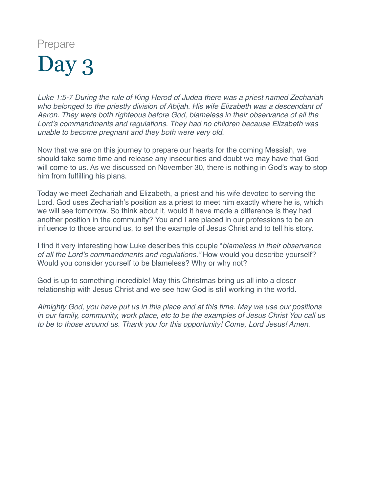<span id="page-7-0"></span>*Luke 1:5-7 During the rule of King Herod of Judea there was a priest named Zechariah who belonged to the priestly division of Abijah. His wife Elizabeth was a descendant of Aaron. They were both righteous before God, blameless in their observance of all the Lord's commandments and regulations. They had no children because Elizabeth was unable to become pregnant and they both were very old.*

Now that we are on this journey to prepare our hearts for the coming Messiah, we should take some time and release any insecurities and doubt we may have that God will come to us. As we discussed on November 30, there is nothing in God's way to stop him from fulfilling his plans.

Today we meet Zechariah and Elizabeth, a priest and his wife devoted to serving the Lord. God uses Zechariah's position as a priest to meet him exactly where he is, which we will see tomorrow. So think about it, would it have made a difference is they had another position in the community? You and I are placed in our professions to be an influence to those around us, to set the example of Jesus Christ and to tell his story.

I find it very interesting how Luke describes this couple "*blameless in their observance of all the Lord's commandments and regulations."* How would you describe yourself? Would you consider yourself to be blameless? Why or why not?

God is up to something incredible! May this Christmas bring us all into a closer relationship with Jesus Christ and we see how God is still working in the world.

*Almighty God, you have put us in this place and at this time. May we use our positions in our family, community, work place, etc to be the examples of Jesus Christ You call us to be to those around us. Thank you for this opportunity! Come, Lord Jesus! Amen.*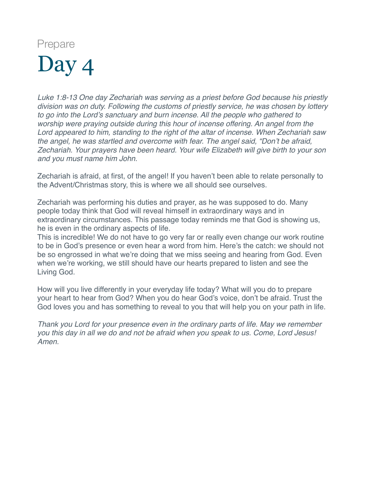<span id="page-8-0"></span>*Luke 1:8-13 One day Zechariah was serving as a priest before God because his priestly division was on duty. Following the customs of priestly service, he was chosen by lottery*  to go into the Lord's sanctuary and burn incense. All the people who gathered to *worship were praying outside during this hour of incense offering. An angel from the Lord appeared to him, standing to the right of the altar of incense. When Zechariah saw the angel, he was startled and overcome with fear. The angel said, "Don't be afraid, Zechariah. Your prayers have been heard. Your wife Elizabeth will give birth to your son and you must name him John.*

Zechariah is afraid, at first, of the angel! If you haven't been able to relate personally to the Advent/Christmas story, this is where we all should see ourselves.

Zechariah was performing his duties and prayer, as he was supposed to do. Many people today think that God will reveal himself in extraordinary ways and in extraordinary circumstances. This passage today reminds me that God is showing us, he is even in the ordinary aspects of life.

This is incredible! We do not have to go very far or really even change our work routine to be in God's presence or even hear a word from him. Here's the catch: we should not be so engrossed in what we're doing that we miss seeing and hearing from God. Even when we're working, we still should have our hearts prepared to listen and see the Living God.

How will you live differently in your everyday life today? What will you do to prepare your heart to hear from God? When you do hear God's voice, don't be afraid. Trust the God loves you and has something to reveal to you that will help you on your path in life.

*Thank you Lord for your presence even in the ordinary parts of life. May we remember you this day in all we do and not be afraid when you speak to us. Come, Lord Jesus! Amen.*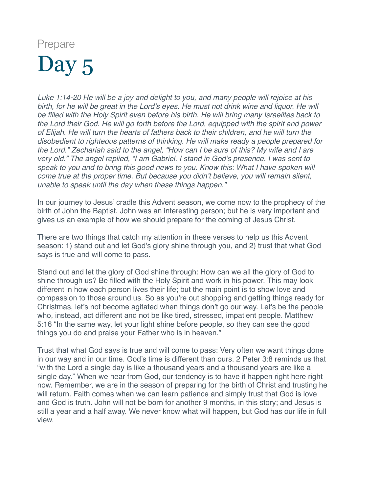<span id="page-9-0"></span>*Luke 1:14-20 He will be a joy and delight to you, and many people will rejoice at his*  birth, for he will be great in the Lord's eyes. He must not drink wine and liguor. He will *be filled with the Holy Spirit even before his birth. He will bring many Israelites back to the Lord their God. He will go forth before the Lord, equipped with the spirit and power of Elijah. He will turn the hearts of fathers back to their children, and he will turn the disobedient to righteous patterns of thinking. He will make ready a people prepared for the Lord." Zechariah said to the angel, "How can I be sure of this? My wife and I are very old." The angel replied, "I am Gabriel. I stand in God's presence. I was sent to speak to you and to bring this good news to you. Know this: What I have spoken will come true at the proper time. But because you didn't believe, you will remain silent, unable to speak until the day when these things happen."*

In our journey to Jesus' cradle this Advent season, we come now to the prophecy of the birth of John the Baptist. John was an interesting person; but he is very important and gives us an example of how we should prepare for the coming of Jesus Christ.

There are two things that catch my attention in these verses to help us this Advent season: 1) stand out and let God's glory shine through you, and 2) trust that what God says is true and will come to pass.

Stand out and let the glory of God shine through: How can we all the glory of God to shine through us? Be filled with the Holy Spirit and work in his power. This may look different in how each person lives their life; but the main point is to show love and compassion to those around us. So as you're out shopping and getting things ready for Christmas, let's not become agitated when things don't go our way. Let's be the people who, instead, act different and not be like tired, stressed, impatient people. Matthew 5:16 "In the same way, let your light shine before people, so they can see the good things you do and praise your Father who is in heaven."

Trust that what God says is true and will come to pass: Very often we want things done in our way and in our time. God's time is different than ours. 2 Peter 3:8 reminds us that "with the Lord a single day is like a thousand years and a thousand years are like a single day." When we hear from God, our tendency is to have it happen right here right now. Remember, we are in the season of preparing for the birth of Christ and trusting he will return. Faith comes when we can learn patience and simply trust that God is love and God is truth. John will not be born for another 9 months, in this story; and Jesus is still a year and a half away. We never know what will happen, but God has our life in full view.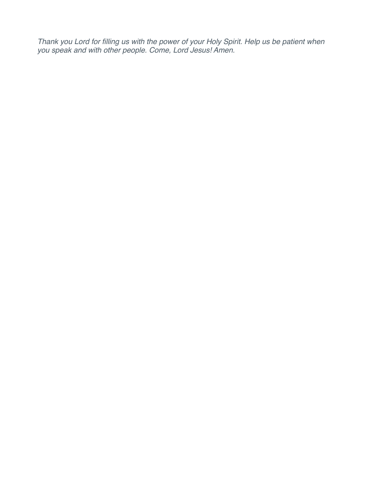*Thank you Lord for filling us with the power of your Holy Spirit. Help us be patient when you speak and with other people. Come, Lord Jesus! Amen.*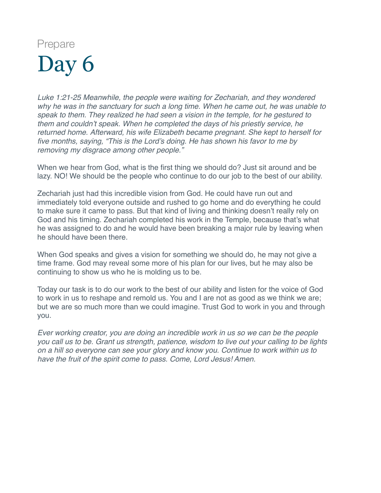<span id="page-11-0"></span>*Luke 1:21-25 Meanwhile, the people were waiting for Zechariah, and they wondered why he was in the sanctuary for such a long time. When he came out, he was unable to speak to them. They realized he had seen a vision in the temple, for he gestured to them and couldn't speak. When he completed the days of his priestly service, he returned home. Afterward, his wife Elizabeth became pregnant. She kept to herself for five months, saying, "This is the Lord's doing. He has shown his favor to me by removing my disgrace among other people."*

When we hear from God, what is the first thing we should do? Just sit around and be lazy. NO! We should be the people who continue to do our job to the best of our ability.

Zechariah just had this incredible vision from God. He could have run out and immediately told everyone outside and rushed to go home and do everything he could to make sure it came to pass. But that kind of living and thinking doesn't really rely on God and his timing. Zechariah completed his work in the Temple, because that's what he was assigned to do and he would have been breaking a major rule by leaving when he should have been there.

When God speaks and gives a vision for something we should do, he may not give a time frame. God may reveal some more of his plan for our lives, but he may also be continuing to show us who he is molding us to be.

Today our task is to do our work to the best of our ability and listen for the voice of God to work in us to reshape and remold us. You and I are not as good as we think we are; but we are so much more than we could imagine. Trust God to work in you and through you.

*Ever working creator, you are doing an incredible work in us so we can be the people you call us to be. Grant us strength, patience, wisdom to live out your calling to be lights on a hill so everyone can see your glory and know you. Continue to work within us to have the fruit of the spirit come to pass. Come, Lord Jesus! Amen.*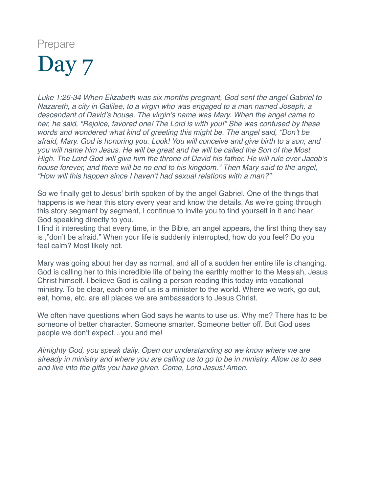<span id="page-12-0"></span>*Luke 1:26-34 When Elizabeth was six months pregnant, God sent the angel Gabriel to Nazareth, a city in Galilee, to a virgin who was engaged to a man named Joseph, a descendant of David's house. The virgin's name was Mary. When the angel came to her, he said, "Rejoice, favored one! The Lord is with you!" She was confused by these words and wondered what kind of greeting this might be. The angel said, "Don't be afraid, Mary. God is honoring you. Look! You will conceive and give birth to a son, and you will name him Jesus. He will be great and he will be called the Son of the Most High. The Lord God will give him the throne of David his father. He will rule over Jacob's house forever, and there will be no end to his kingdom." Then Mary said to the angel, "How will this happen since I haven't had sexual relations with a man?"*

So we finally get to Jesus' birth spoken of by the angel Gabriel. One of the things that happens is we hear this story every year and know the details. As we're going through this story segment by segment, I continue to invite you to find yourself in it and hear God speaking directly to you.

I find it interesting that every time, in the Bible, an angel appears, the first thing they say is ,"don't be afraid." When your life is suddenly interrupted, how do you feel? Do you feel calm? Most likely not.

Mary was going about her day as normal, and all of a sudden her entire life is changing. God is calling her to this incredible life of being the earthly mother to the Messiah, Jesus Christ himself. I believe God is calling a person reading this today into vocational ministry. To be clear, each one of us is a minister to the world. Where we work, go out, eat, home, etc. are all places we are ambassadors to Jesus Christ.

We often have questions when God says he wants to use us. Why me? There has to be someone of better character. Someone smarter. Someone better off. But God uses people we don't expect…you and me!

*Almighty God, you speak daily. Open our understanding so we know where we are already in ministry and where you are calling us to go to be in ministry. Allow us to see and live into the gifts you have given. Come, Lord Jesus! Amen.*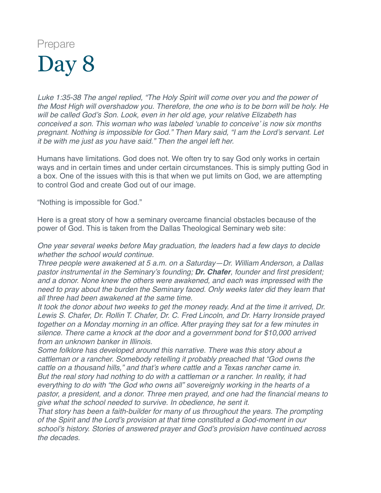<span id="page-13-0"></span>*Luke 1:35-38 The angel replied, "The Holy Spirit will come over you and the power of the Most High will overshadow you. Therefore, the one who is to be born will be holy. He will be called God's Son. Look, even in her old age, your relative Elizabeth has conceived a son. This woman who was labeled 'unable to conceive' is now six months pregnant. Nothing is impossible for God." Then Mary said, "I am the Lord's servant. Let it be with me just as you have said." Then the angel left her.*

Humans have limitations. God does not. We often try to say God only works in certain ways and in certain times and under certain circumstances. This is simply putting God in a box. One of the issues with this is that when we put limits on God, we are attempting to control God and create God out of our image.

"Nothing is impossible for God."

Here is a great story of how a seminary overcame financial obstacles because of the power of God. This is taken from the Dallas Theological Seminary web site:

*One year several weeks before May graduation, the leaders had a few days to decide whether the school would continue.*

*Three people were awakened at 5 a.m. on a Saturday—Dr. William Anderson, a Dallas pastor instrumental in the Seminary's founding; [Dr. Chafer](http://www.dts.edu/read/an-eighty-year-legacy-jeffrey-jon-richards/), founder and first president; and a donor. None knew the others were awakened, and each was impressed with the need to pray about the burden the Seminary faced. Only weeks later did they learn that all three had been awakened at the same time.*

*It took the donor about two weeks to get the money ready. And at the time it arrived, Dr. Lewis S. Chafer, Dr. Rollin T. Chafer, Dr. C. Fred Lincoln, and Dr. Harry Ironside prayed together on a Monday morning in an office. After praying they sat for a few minutes in silence. There came a knock at the door and a government bond for \$10,000 arrived from an unknown banker in Illinois.*

*Some folklore has developed around this narrative. There was this story about a cattleman or a rancher. Somebody retelling it probably preached that "God owns the cattle on a thousand hills," and that's where cattle and a Texas rancher came in. But the real story had nothing to do with a cattleman or a rancher. In reality, it had everything to do with "the God who owns all" sovereignly working in the hearts of a pastor, a president, and a donor. Three men prayed, and one had the financial means to give what the school needed to survive. In obedience, he sent it.*

*That story has been a faith-builder for many of us throughout the years. The prompting of the Spirit and the Lord's provision at that time constituted a God-moment in our school's history. Stories of answered prayer and God's provision have continued across the decades.*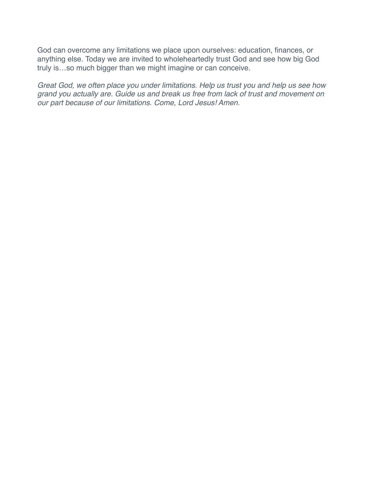God can overcome any limitations we place upon ourselves: education, finances, or anything else. Today we are invited to wholeheartedly trust God and see how big God truly is…so much bigger than we might imagine or can conceive.

*Great God, we often place you under limitations. Help us trust you and help us see how grand you actually are. Guide us and break us free from lack of trust and movement on our part because of our limitations. Come, Lord Jesus! Amen.*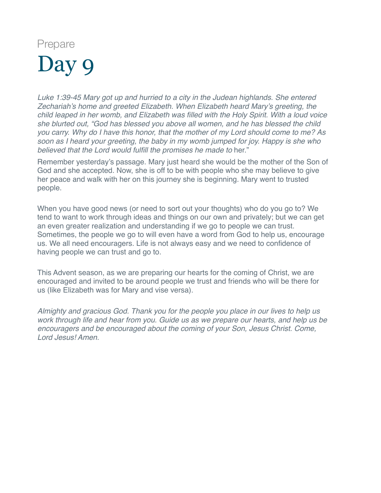<span id="page-15-0"></span>*Luke 1:39-45 Mary got up and hurried to a city in the Judean highlands. She entered Zechariah's home and greeted Elizabeth. When Elizabeth heard Mary's greeting, the child leaped in her womb, and Elizabeth was filled with the Holy Spirit. With a loud voice she blurted out, "God has blessed you above all women, and he has blessed the child you carry. Why do I have this honor, that the mother of my Lord should come to me? As soon as I heard your greeting, the baby in my womb jumped for joy. Happy is she who believed that the Lord would fulfill the promises he made to* her."

Remember yesterday's passage. Mary just heard she would be the mother of the Son of God and she accepted. Now, she is off to be with people who she may believe to give her peace and walk with her on this journey she is beginning. Mary went to trusted people.

When you have good news (or need to sort out your thoughts) who do you go to? We tend to want to work through ideas and things on our own and privately; but we can get an even greater realization and understanding if we go to people we can trust. Sometimes, the people we go to will even have a word from God to help us, encourage us. We all need encouragers. Life is not always easy and we need to confidence of having people we can trust and go to.

This Advent season, as we are preparing our hearts for the coming of Christ, we are encouraged and invited to be around people we trust and friends who will be there for us (like Elizabeth was for Mary and vise versa).

*Almighty and gracious God. Thank you for the people you place in our lives to help us work through life and hear from you. Guide us as we prepare our hearts, and help us be encouragers and be encouraged about the coming of your Son, Jesus Christ. Come, Lord Jesus! Amen.*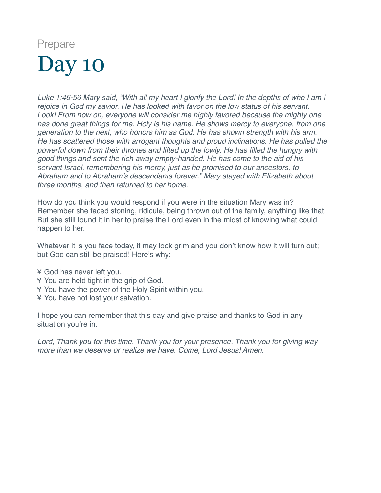<span id="page-16-0"></span>*Luke 1:46-56 Mary said, "With all my heart I glorify the Lord! In the depths of who I am I rejoice in God my savior. He has looked with favor on the low status of his servant. Look! From now on, everyone will consider me highly favored because the mighty one has done great things for me. Holy is his name. He shows mercy to everyone, from one generation to the next, who honors him as God. He has shown strength with his arm. He has scattered those with arrogant thoughts and proud inclinations. He has pulled the powerful down from their thrones and lifted up the lowly. He has filled the hungry with good things and sent the rich away empty-handed. He has come to the aid of his servant Israel, remembering his mercy, just as he promised to our ancestors, to Abraham and to Abraham's descendants forever." Mary stayed with Elizabeth about three months, and then returned to her home.*

How do you think you would respond if you were in the situation Mary was in? Remember she faced stoning, ridicule, being thrown out of the family, anything like that. But she still found it in her to praise the Lord even in the midst of knowing what could happen to her.

Whatever it is you face today, it may look grim and you don't know how it will turn out; but God can still be praised! Here's why:

- ¥ God has never left you.
- ¥ You are held tight in the grip of God.
- ¥ You have the power of the Holy Spirit within you.
- ¥ You have not lost your salvation.

I hope you can remember that this day and give praise and thanks to God in any situation you're in.

*Lord, Thank you for this time. Thank you for your presence. Thank you for giving way more than we deserve or realize we have. Come, Lord Jesus! Amen.*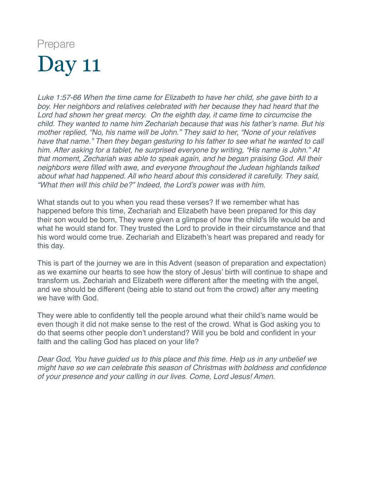<span id="page-17-0"></span>*Luke 1:57-66 When the time came for Elizabeth to have her child, she gave birth to a boy. Her neighbors and relatives celebrated with her because they had heard that the Lord had shown her great mercy. On the eighth day, it came time to circumcise the child. They wanted to name him Zechariah because that was his father's name. But his mother replied, "No, his name will be John." They said to her, "None of your relatives have that name." Then they began gesturing to his father to see what he wanted to call him. After asking for a tablet, he surprised everyone by writing, "His name is John." At that moment, Zechariah was able to speak again, and he began praising God. All their neighbors were filled with awe, and everyone throughout the Judean highlands talked about what had happened. All who heard about this considered it carefully. They said, "What then will this child be?" Indeed, the Lord's power was with him.*

What stands out to you when you read these verses? If we remember what has happened before this time, Zechariah and Elizabeth have been prepared for this day their son would be born, They were given a glimpse of how the child's life would be and what he would stand for. They trusted the Lord to provide in their circumstance and that his word would come true. Zechariah and Elizabeth's heart was prepared and ready for this day.

This is part of the journey we are in this Advent (season of preparation and expectation) as we examine our hearts to see how the story of Jesus' birth will continue to shape and transform us. Zechariah and Elizabeth were different after the meeting with the angel, and we should be different (being able to stand out from the crowd) after any meeting we have with God.

They were able to confidently tell the people around what their child's name would be even though it did not make sense to the rest of the crowd. What is God asking you to do that seems other people don't understand? Will you be bold and confident in your faith and the calling God has placed on your life?

*Dear God, You have guided us to this place and this time. Help us in any unbelief we might have so we can celebrate this season of Christmas with boldness and confidence of your presence and your calling in our lives. Come, Lord Jesus! Amen.*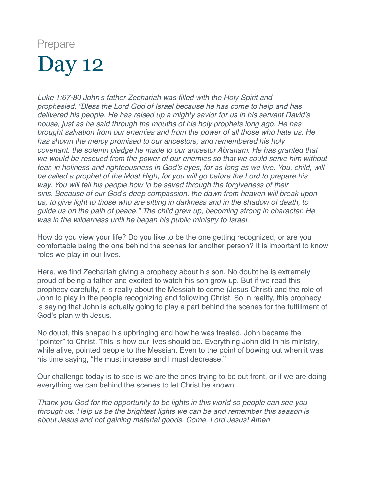<span id="page-18-0"></span>*Luke 1:67-80 John's father Zechariah was filled with the Holy Spirit and prophesied, "Bless the Lord God of Israel because he has come to help and has delivered his people. He has raised up a mighty savior for us in his servant David's house, just as he said through the mouths of his holy prophets long ago. He has brought salvation from our enemies and from the power of all those who hate us. He has shown the mercy promised to our ancestors, and remembered his holy covenant, the solemn pledge he made to our ancestor Abraham. He has granted that we would be rescued from the power of our enemies so that we could serve him without fear, in holiness and righteousness in God's eyes, for as long as we live. You, child, will be called a prophet of the Most High, for you will go before the Lord to prepare his way. You will tell his people how to be saved through the forgiveness of their sins. Because of our God's deep compassion, the dawn from heaven will break upon us, to give light to those who are sitting in darkness and in the shadow of death, to guide us on the path of peace." The child grew up, becoming strong in character. He was in the wilderness until he began his public ministry to Israel.*

How do you view your life? Do you like to be the one getting recognized, or are you comfortable being the one behind the scenes for another person? It is important to know roles we play in our lives.

Here, we find Zechariah giving a prophecy about his son. No doubt he is extremely proud of being a father and excited to watch his son grow up. But if we read this prophecy carefully, it is really about the Messiah to come (Jesus Christ) and the role of John to play in the people recognizing and following Christ. So in reality, this prophecy is saying that John is actually going to play a part behind the scenes for the fulfillment of God's plan with Jesus.

No doubt, this shaped his upbringing and how he was treated. John became the "pointer" to Christ. This is how our lives should be. Everything John did in his ministry, while alive, pointed people to the Messiah. Even to the point of bowing out when it was his time saying, "He must increase and I must decrease."

Our challenge today is to see is we are the ones trying to be out front, or if we are doing everything we can behind the scenes to let Christ be known.

*Thank you God for the opportunity to be lights in this world so people can see you through us. Help us be the brightest lights we can be and remember this season is about Jesus and not gaining material goods. Come, Lord Jesus! Amen*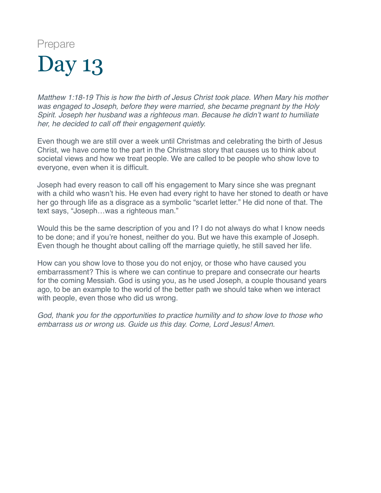<span id="page-19-0"></span>*Matthew 1:18-19 This is how the birth of Jesus Christ took place. When Mary his mother was engaged to Joseph, before they were married, she became pregnant by the Holy Spirit. Joseph her husband was a righteous man. Because he didn't want to humiliate her, he decided to call off their engagement quietly.*

Even though we are still over a week until Christmas and celebrating the birth of Jesus Christ, we have come to the part in the Christmas story that causes us to think about societal views and how we treat people. We are called to be people who show love to everyone, even when it is difficult.

Joseph had every reason to call off his engagement to Mary since she was pregnant with a child who wasn't his. He even had every right to have her stoned to death or have her go through life as a disgrace as a symbolic "scarlet letter." He did none of that. The text says, "Joseph…was a righteous man."

Would this be the same description of you and I? I do not always do what I know needs to be done; and if you're honest, neither do you. But we have this example of Joseph. Even though he thought about calling off the marriage quietly, he still saved her life.

How can you show love to those you do not enjoy, or those who have caused you embarrassment? This is where we can continue to prepare and consecrate our hearts for the coming Messiah. God is using you, as he used Joseph, a couple thousand years ago, to be an example to the world of the better path we should take when we interact with people, even those who did us wrong.

*God, thank you for the opportunities to practice humility and to show love to those who embarrass us or wrong us. Guide us this day. Come, Lord Jesus! Amen.*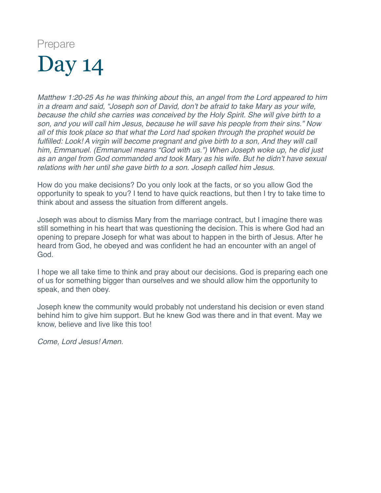<span id="page-20-0"></span>*Matthew 1:20-25 As he was thinking about this, an angel from the Lord appeared to him in a dream and said, "Joseph son of David, don't be afraid to take Mary as your wife, because the child she carries was conceived by the Holy Spirit. She will give birth to a son, and you will call him Jesus, because he will save his people from their sins." Now all of this took place so that what the Lord had spoken through the prophet would be fulfilled: Look! A virgin will become pregnant and give birth to a son, And they will call him, Emmanuel. (Emmanuel means "God with us.") When Joseph woke up, he did just as an angel from God commanded and took Mary as his wife. But he didn't have sexual relations with her until she gave birth to a son. Joseph called him Jesus.*

How do you make decisions? Do you only look at the facts, or so you allow God the opportunity to speak to you? I tend to have quick reactions, but then I try to take time to think about and assess the situation from different angels.

Joseph was about to dismiss Mary from the marriage contract, but I imagine there was still something in his heart that was questioning the decision. This is where God had an opening to prepare Joseph for what was about to happen in the birth of Jesus. After he heard from God, he obeyed and was confident he had an encounter with an angel of God.

I hope we all take time to think and pray about our decisions. God is preparing each one of us for something bigger than ourselves and we should allow him the opportunity to speak, and then obey.

Joseph knew the community would probably not understand his decision or even stand behind him to give him support. But he knew God was there and in that event. May we know, believe and live like this too!

*Come, Lord Jesus! Amen.*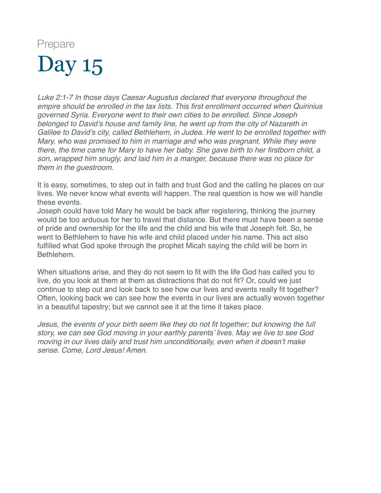<span id="page-21-0"></span>*Luke 2:1-7 In those days Caesar Augustus declared that everyone throughout the empire should be enrolled in the tax lists. This first enrollment occurred when Quirinius governed Syria. Everyone went to their own cities to be enrolled. Since Joseph belonged to David's house and family line, he went up from the city of Nazareth in Galilee to David's city, called Bethlehem, in Judea. He went to be enrolled together with Mary, who was promised to him in marriage and who was pregnant. While they were there, the time came for Mary to have her baby. She gave birth to her firstborn child, a son, wrapped him snugly, and laid him in a manger, because there was no place for them in the guestroom.*

It is easy, sometimes, to step out in faith and trust God and the calling he places on our lives. We never know what events will happen. The real question is how we will handle these events.

Joseph could have told Mary he would be back after registering, thinking the journey would be too arduous for her to travel that distance. But there must have been a sense of pride and ownership for the life and the child and his wife that Joseph felt. So, he went to Bethlehem to have his wife and child placed under his name. This act also fulfilled what God spoke through the prophet Micah saying the child will be born in Bethlehem.

When situations arise, and they do not seem to fit with the life God has called you to live, do you look at them at them as distractions that do not fit? Or, could we just continue to step out and look back to see how our lives and events really fit together? Often, looking back we can see how the events in our lives are actually woven together in a beautiful tapestry; but we cannot see it at the time it takes place.

*Jesus, the events of your birth seem like they do not fit together; but knowing the full story, we can see God moving in your earthly parents' lives. May we live to see God moving in our lives daily and trust him unconditionally, even when it doesn't make sense. Come, Lord Jesus! Amen.*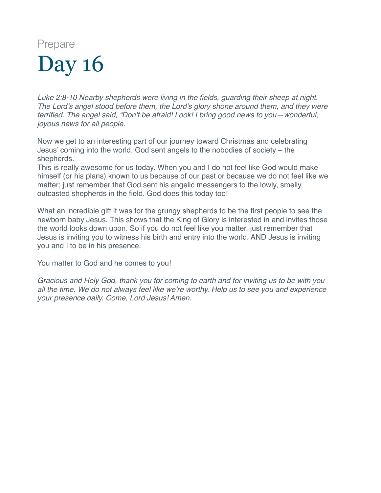<span id="page-22-0"></span>*Luke 2:8-10 Nearby shepherds were living in the fields, guarding their sheep at night. The Lord's angel stood before them, the Lord's glory shone around them, and they were terrified. The angel said, "Don't be afraid! Look! I bring good news to you—wonderful, joyous news for all people.*

Now we get to an interesting part of our journey toward Christmas and celebrating Jesus' coming into the world. God sent angels to the nobodies of society – the shepherds.

This is really awesome for us today. When you and I do not feel like God would make himself (or his plans) known to us because of our past or because we do not feel like we matter; just remember that God sent his angelic messengers to the lowly, smelly, outcasted shepherds in the field. God does this today too!

What an incredible gift it was for the grungy shepherds to be the first people to see the newborn baby Jesus. This shows that the King of Glory is interested in and invites those the world looks down upon. So if you do not feel like you matter, just remember that Jesus is inviting you to witness his birth and entry into the world. AND Jesus is inviting you and I to be in his presence.

You matter to God and he comes to you!

*Gracious and Holy God, thank you for coming to earth and for inviting us to be with you all the time. We do not always feel like we're worthy. Help us to see you and experience your presence daily. Come, Lord Jesus! Amen.*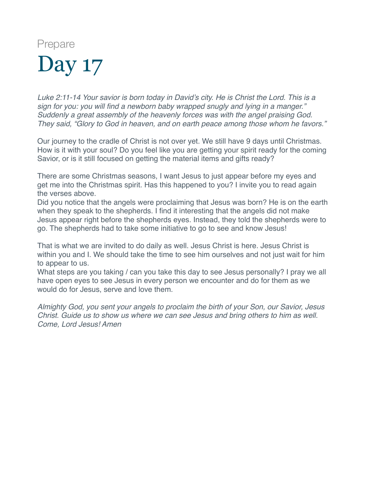<span id="page-23-0"></span>*Luke 2:11-14 Your savior is born today in David's city. He is Christ the Lord. This is a sign for you: you will find a newborn baby wrapped snugly and lying in a manger." Suddenly a great assembly of the heavenly forces was with the angel praising God. They said, "Glory to God in heaven, and on earth peace among those whom he favors."*

Our journey to the cradle of Christ is not over yet. We still have 9 days until Christmas. How is it with your soul? Do you feel like you are getting your spirit ready for the coming Savior, or is it still focused on getting the material items and gifts ready?

There are some Christmas seasons, I want Jesus to just appear before my eyes and get me into the Christmas spirit. Has this happened to you? I invite you to read again the verses above.

Did you notice that the angels were proclaiming that Jesus was born? He is on the earth when they speak to the shepherds. I find it interesting that the angels did not make Jesus appear right before the shepherds eyes. Instead, they told the shepherds were to go. The shepherds had to take some initiative to go to see and know Jesus!

That is what we are invited to do daily as well. Jesus Christ is here. Jesus Christ is within you and I. We should take the time to see him ourselves and not just wait for him to appear to us.

What steps are you taking / can you take this day to see Jesus personally? I pray we all have open eyes to see Jesus in every person we encounter and do for them as we would do for Jesus, serve and love them.

*Almighty God, you sent your angels to proclaim the birth of your Son, our Savior, Jesus Christ. Guide us to show us where we can see Jesus and bring others to him as well. Come, Lord Jesus! Amen*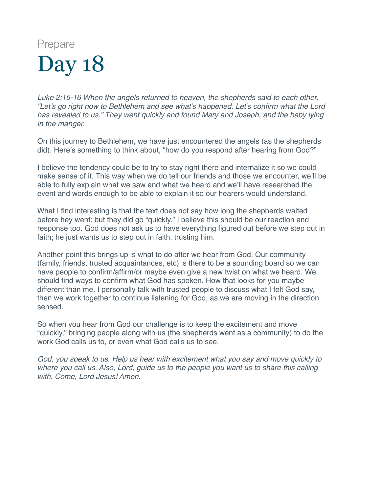<span id="page-24-0"></span>*Luke 2:15-16 When the angels returned to heaven, the shepherds said to each other, "Let's go right now to Bethlehem and see what's happened. Let's confirm what the Lord has revealed to us." They went quickly and found Mary and Joseph, and the baby lying in the manger.*

On this journey to Bethlehem, we have just encountered the angels (as the shepherds did). Here's something to think about, "how do you respond after hearing from God?"

I believe the tendency could be to try to stay right there and internalize it so we could make sense of it. This way when we do tell our friends and those we encounter, we'll be able to fully explain what we saw and what we heard and we'll have researched the event and words enough to be able to explain it so our hearers would understand.

What I find interesting is that the text does not say how long the shepherds waited before hey went; but they did go "quickly." I believe this should be our reaction and response too. God does not ask us to have everything figured out before we step out in faith; he just wants us to step out in faith, trusting him.

Another point this brings up is what to do after we hear from God. Our community (family, friends, trusted acquaintances, etc) is there to be a sounding board so we can have people to confirm/affirm/or maybe even give a new twist on what we heard. We should find ways to confirm what God has spoken. How that looks for you maybe different than me. I personally talk with trusted people to discuss what I felt God say, then we work together to continue listening for God, as we are moving in the direction sensed.

So when you hear from God our challenge is to keep the excitement and move "quickly," bringing people along with us (the shepherds went as a community) to do the work God calls us to, or even what God calls us to see.

*God, you speak to us. Help us hear with excitement what you say and move quickly to where you call us. Also, Lord, guide us to the people you want us to share this calling with. Come, Lord Jesus! Amen.*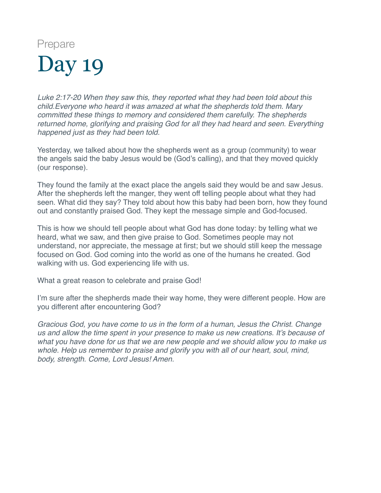<span id="page-25-0"></span>*Luke 2:17-20 When they saw this, they reported what they had been told about this child.Everyone who heard it was amazed at what the shepherds told them. Mary committed these things to memory and considered them carefully. The shepherds returned home, glorifying and praising God for all they had heard and seen. Everything happened just as they had been told.*

Yesterday, we talked about how the shepherds went as a group (community) to wear the angels said the baby Jesus would be (God's calling), and that they moved quickly (our response).

They found the family at the exact place the angels said they would be and saw Jesus. After the shepherds left the manger, they went off telling people about what they had seen. What did they say? They told about how this baby had been born, how they found out and constantly praised God. They kept the message simple and God-focused.

This is how we should tell people about what God has done today: by telling what we heard, what we saw, and then give praise to God. Sometimes people may not understand, nor appreciate, the message at first; but we should still keep the message focused on God. God coming into the world as one of the humans he created. God walking with us. God experiencing life with us.

What a great reason to celebrate and praise God!

I'm sure after the shepherds made their way home, they were different people. How are you different after encountering God?

*Gracious God, you have come to us in the form of a human, Jesus the Christ. Change us and allow the time spent in your presence to make us new creations. It's because of what you have done for us that we are new people and we should allow you to make us whole. Help us remember to praise and glorify you with all of our heart, soul, mind, body, strength. Come, Lord Jesus! Amen.*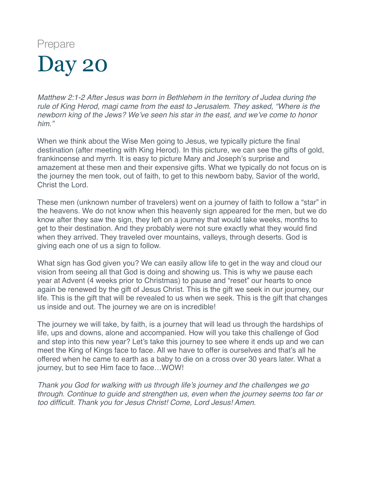<span id="page-26-0"></span>*Matthew 2:1-2 After Jesus was born in Bethlehem in the territory of Judea during the rule of King Herod, magi came from the east to Jerusalem. They asked, "Where is the newborn king of the Jews? We've seen his star in the east, and we've come to honor him."*

When we think about the Wise Men going to Jesus, we typically picture the final destination (after meeting with King Herod). In this picture, we can see the gifts of gold, frankincense and myrrh. It is easy to picture Mary and Joseph's surprise and amazement at these men and their expensive gifts. What we typically do not focus on is the journey the men took, out of faith, to get to this newborn baby, Savior of the world, Christ the Lord.

These men (unknown number of travelers) went on a journey of faith to follow a "star" in the heavens. We do not know when this heavenly sign appeared for the men, but we do know after they saw the sign, they left on a journey that would take weeks, months to get to their destination. And they probably were not sure exactly what they would find when they arrived. They traveled over mountains, valleys, through deserts. God is giving each one of us a sign to follow.

What sign has God given you? We can easily allow life to get in the way and cloud our vision from seeing all that God is doing and showing us. This is why we pause each year at Advent (4 weeks prior to Christmas) to pause and "reset" our hearts to once again be renewed by the gift of Jesus Christ. This is the gift we seek in our journey, our life. This is the gift that will be revealed to us when we seek. This is the gift that changes us inside and out. The journey we are on is incredible!

The journey we will take, by faith, is a journey that will lead us through the hardships of life, ups and downs, alone and accompanied. How will you take this challenge of God and step into this new year? Let's take this journey to see where it ends up and we can meet the King of Kings face to face. All we have to offer is ourselves and that's all he offered when he came to earth as a baby to die on a cross over 30 years later. What a journey, but to see Him face to face…WOW!

*Thank you God for walking with us through life's journey and the challenges we go through. Continue to guide and strengthen us, even when the journey seems too far or too difficult. Thank you for Jesus Christ! Come, Lord Jesus! Amen.*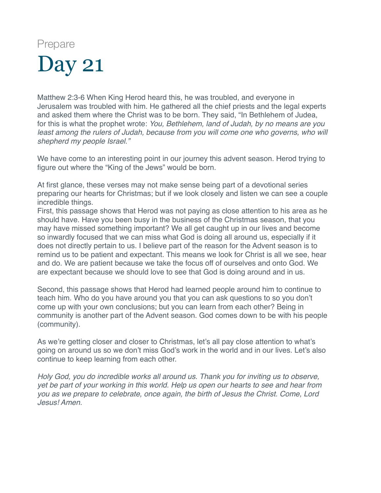<span id="page-27-0"></span>Matthew 2:3-6 When King Herod heard this, he was troubled, and everyone in Jerusalem was troubled with him. He gathered all the chief priests and the legal experts and asked them where the Christ was to be born. They said, "In Bethlehem of Judea, for this is what the prophet wrote: *You, Bethlehem, land of Judah, by no means are you least among the rulers of Judah, because from you will come one who governs, who will shepherd my people Israel."*

We have come to an interesting point in our journey this advent season. Herod trying to figure out where the "King of the Jews" would be born.

At first glance, these verses may not make sense being part of a devotional series preparing our hearts for Christmas; but if we look closely and listen we can see a couple incredible things.

First, this passage shows that Herod was not paying as close attention to his area as he should have. Have you been busy in the business of the Christmas season, that you may have missed something important? We all get caught up in our lives and become so inwardly focused that we can miss what God is doing all around us, especially if it does not directly pertain to us. I believe part of the reason for the Advent season is to remind us to be patient and expectant. This means we look for Christ is all we see, hear and do. We are patient because we take the focus off of ourselves and onto God. We are expectant because we should love to see that God is doing around and in us.

Second, this passage shows that Herod had learned people around him to continue to teach him. Who do you have around you that you can ask questions to so you don't come up with your own conclusions; but you can learn from each other? Being in community is another part of the Advent season. God comes down to be with his people (community).

As we're getting closer and closer to Christmas, let's all pay close attention to what's going on around us so we don't miss God's work in the world and in our lives. Let's also continue to keep learning from each other.

*Holy God, you do incredible works all around us. Thank you for inviting us to observe, yet be part of your working in this world. Help us open our hearts to see and hear from you as we prepare to celebrate, once again, the birth of Jesus the Christ. Come, Lord Jesus! Amen.*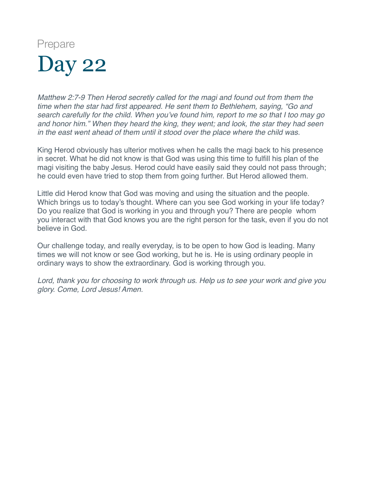<span id="page-28-0"></span>*Matthew 2:7-9 Then Herod secretly called for the magi and found out from them the time when the star had first appeared. He sent them to Bethlehem, saying, "Go and search carefully for the child. When you've found him, report to me so that I too may go and honor him." When they heard the king, they went; and look, the star they had seen in the east went ahead of them until it stood over the place where the child was.*

King Herod obviously has ulterior motives when he calls the magi back to his presence in secret. What he did not know is that God was using this time to fulfill his plan of the magi visiting the baby Jesus. Herod could have easily said they could not pass through; he could even have tried to stop them from going further. But Herod allowed them.

Little did Herod know that God was moving and using the situation and the people. Which brings us to today's thought. Where can you see God working in your life today? Do you realize that God is working in you and through you? There are people whom you interact with that God knows you are the right person for the task, even if you do not believe in God.

Our challenge today, and really everyday, is to be open to how God is leading. Many times we will not know or see God working, but he is. He is using ordinary people in ordinary ways to show the extraordinary. God is working through you.

*Lord, thank you for choosing to work through us. Help us to see your work and give you glory. Come, Lord Jesus! Amen.*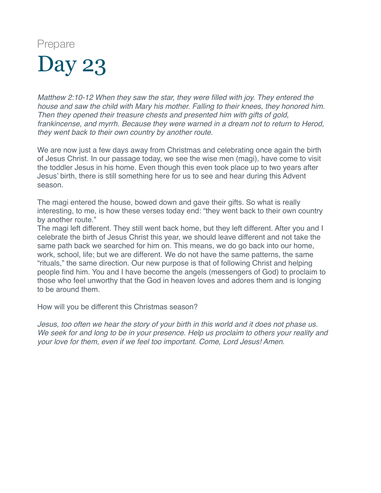<span id="page-29-0"></span>*Matthew 2:10-12 When they saw the star, they were filled with joy. They entered the house and saw the child with Mary his mother. Falling to their knees, they honored him. Then they opened their treasure chests and presented him with gifts of gold, frankincense, and myrrh. Because they were warned in a dream not to return to Herod, they went back to their own country by another route.*

We are now just a few days away from Christmas and celebrating once again the birth of Jesus Christ. In our passage today, we see the wise men (magi), have come to visit the toddler Jesus in his home. Even though this even took place up to two years after Jesus' birth, there is still something here for us to see and hear during this Advent season.

The magi entered the house, bowed down and gave their gifts. So what is really interesting, to me, is how these verses today end: "they went back to their own country by another route."

The magi left different. They still went back home, but they left different. After you and I celebrate the birth of Jesus Christ this year, we should leave different and not take the same path back we searched for him on. This means, we do go back into our home, work, school, life; but we are different. We do not have the same patterns, the same "rituals," the same direction. Our new purpose is that of following Christ and helping people find him. You and I have become the angels (messengers of God) to proclaim to those who feel unworthy that the God in heaven loves and adores them and is longing to be around them.

How will you be different this Christmas season?

*Jesus, too often we hear the story of your birth in this world and it does not phase us. We seek for and long to be in your presence. Help us proclaim to others your reality and your love for them, even if we feel too important. Come, Lord Jesus! Amen.*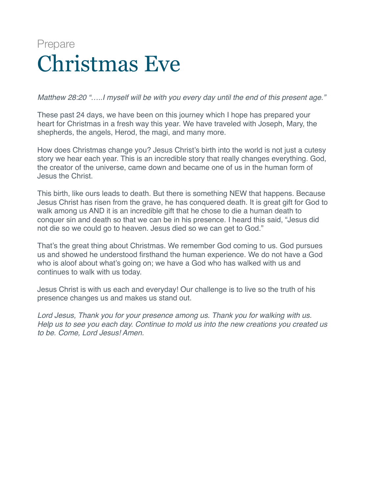#### <span id="page-30-0"></span>Prepare Christmas Eve

*Matthew 28:20 "…..I myself will be with you every day until the end of this present age."*

These past 24 days, we have been on this journey which I hope has prepared your heart for Christmas in a fresh way this year. We have traveled with Joseph, Mary, the shepherds, the angels, Herod, the magi, and many more.

How does Christmas change you? Jesus Christ's birth into the world is not just a cutesy story we hear each year. This is an incredible story that really changes everything. God, the creator of the universe, came down and became one of us in the human form of Jesus the Christ.

This birth, like ours leads to death. But there is something NEW that happens. Because Jesus Christ has risen from the grave, he has conquered death. It is great gift for God to walk among us AND it is an incredible gift that he chose to die a human death to conquer sin and death so that we can be in his presence. I heard this said, "Jesus did not die so we could go to heaven. Jesus died so we can get to God."

That's the great thing about Christmas. We remember God coming to us. God pursues us and showed he understood firsthand the human experience. We do not have a God who is aloof about what's going on; we have a God who has walked with us and continues to walk with us today.

Jesus Christ is with us each and everyday! Our challenge is to live so the truth of his presence changes us and makes us stand out.

*Lord Jesus, Thank you for your presence among us. Thank you for walking with us. Help us to see you each day. Continue to mold us into the new creations you created us to be. Come, Lord Jesus! Amen.*